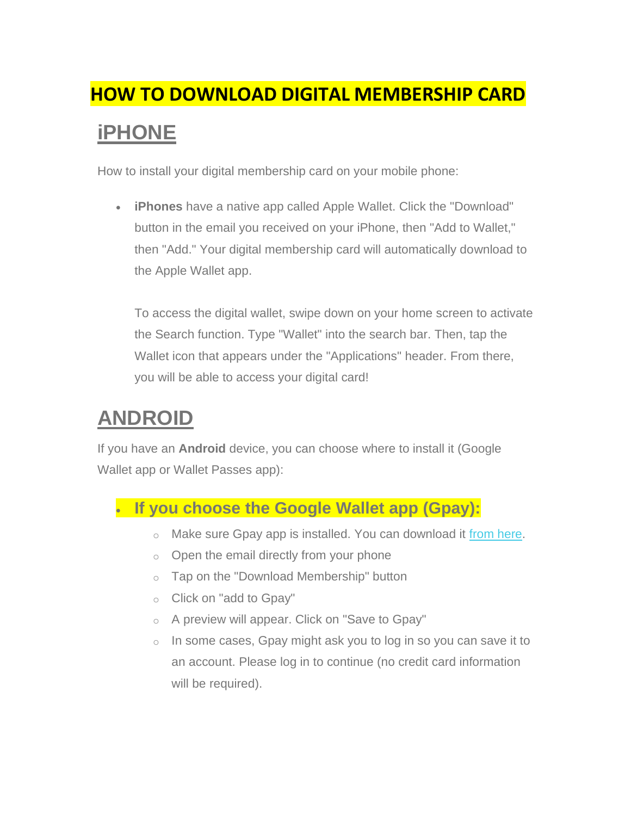## **HOW TO DOWNLOAD DIGITAL MEMBERSHIP CARD iPHONE**

How to install your digital membership card on your mobile phone:

• **iPhones** have a native app called Apple Wallet. Click the "Download" button in the email you received on your iPhone, then "Add to Wallet," then "Add." Your digital membership card will automatically download to the Apple Wallet app.

To access the digital wallet, swipe down on your home screen to activate the Search function. Type "Wallet" into the search bar. Then, tap the Wallet icon that appears under the "Applications" header. From there, you will be able to access your digital card!

## **ANDROID**

If you have an **Android** device, you can choose where to install it (Google Wallet app or Wallet Passes app):

## • **If you choose the Google Wallet app (Gpay):**

- o Make sure Gpay app is installed. You can download it [from here.](https://mandrillapp.com/track/click/30997027/play.google.com?p=eyJzIjoiWk9Vek1aOHBEbVJzSl9oYl9Bd1g0UmxfNHFBIiwidiI6MSwicCI6IntcInVcIjozMDk5NzAyNyxcInZcIjoxLFwidXJsXCI6XCJodHRwczpcXFwvXFxcL3BsYXkuZ29vZ2xlLmNvbVxcXC9zdG9yZVxcXC9hcHBzXFxcL2RldGFpbHM_aWQ9Y29tLmdvb2dsZS5hbmRyb2lkLmFwcHMubmJ1LnBhaXNhLnVzZXJcIixcImlkXCI6XCJjODAzYTZlZGRiMDY0NzcwYjZlNGRmOTUwNDY1MjJkZVwiLFwidXJsX2lkc1wiOltcImFkYTJjMWJmM2VlZjAwMjQ3MDNiMmI1N2YyY2YyNzdhNTYwMjJiNTVcIl19In0)
- $\circ$  Open the email directly from your phone
- o Tap on the "Download Membership" button
- o Click on "add to Gpay"
- o A preview will appear. Click on "Save to Gpay"
- $\circ$  In some cases, Gpay might ask you to log in so you can save it to an account. Please log in to continue (no credit card information will be required).